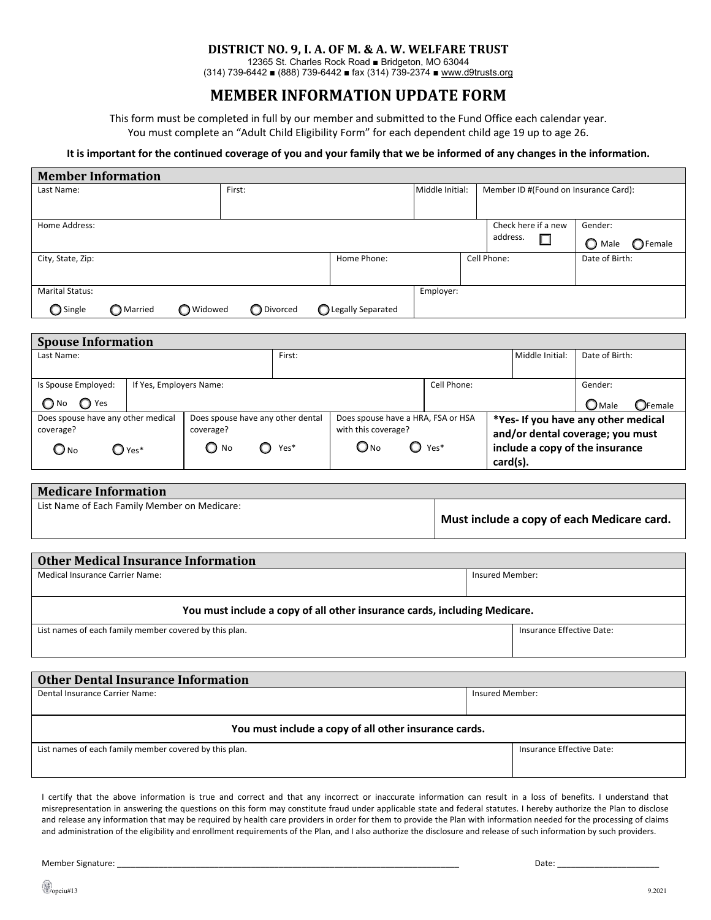## **DISTRICT NO. 9, I. A. OF M. & A. W. WELFARE TRUST**

12365 St. Charles Rock Road ■ Bridgeton, MO 63044 (314) 739-6442 ■ (888) 739-6442 ■ fax (314) 739-2374 ■ [www.d9trusts.org](http://www.d9trusts.org/)

## **MEMBER INFORMATION UPDATE FORM**

This form must be completed in full by our member and submitted to the Fund Office each calendar year. You must complete an "Adult Child Eligibility Form" for each dependent child age 19 up to age 26.

## **It is important for the continued coverage of you and your family that we be informed of any changes in the information.**

| <b>Member Information</b>                                                        |                                   |            |                                    |                                                      |                                            |             |                                       |                                      |  |
|----------------------------------------------------------------------------------|-----------------------------------|------------|------------------------------------|------------------------------------------------------|--------------------------------------------|-------------|---------------------------------------|--------------------------------------|--|
| Last Name:                                                                       | First:                            |            |                                    | Middle Initial:                                      |                                            |             | Member ID #(Found on Insurance Card): |                                      |  |
|                                                                                  |                                   |            |                                    |                                                      |                                            |             |                                       |                                      |  |
| Home Address:                                                                    |                                   |            |                                    |                                                      |                                            |             | Check here if a new                   | Gender:                              |  |
|                                                                                  |                                   |            |                                    |                                                      |                                            | address.    | $\Box$                                | $\bigcirc$ Male<br>$\bigcirc$ Female |  |
| City, State, Zip:                                                                |                                   |            | Home Phone:                        |                                                      |                                            | Cell Phone: |                                       | Date of Birth:                       |  |
|                                                                                  |                                   |            |                                    |                                                      |                                            |             |                                       |                                      |  |
| <b>Marital Status:</b><br>Employer:                                              |                                   |            |                                    |                                                      |                                            |             |                                       |                                      |  |
| ◯ Single<br>O Married<br>◯ Widowed                                               |                                   | ◯ Divorced | ◯ Legally Separated                |                                                      |                                            |             |                                       |                                      |  |
|                                                                                  |                                   |            |                                    |                                                      |                                            |             |                                       |                                      |  |
| <b>Spouse Information</b>                                                        |                                   |            |                                    |                                                      |                                            |             |                                       |                                      |  |
| Last Name:                                                                       |                                   | First:     |                                    |                                                      | Middle Initial:                            |             |                                       | Date of Birth:                       |  |
| Is Spouse Employed:<br>If Yes, Employers Name:                                   |                                   |            |                                    |                                                      | Cell Phone:<br>Gender:                     |             |                                       |                                      |  |
| $\bigcirc$ No<br>$\bigcirc$ Yes                                                  |                                   |            |                                    |                                                      | $\bigcirc$ Male<br>OFemale                 |             |                                       |                                      |  |
| Does spouse have any other medical                                               | Does spouse have any other dental |            | Does spouse have a HRA, FSA or HSA | *Yes- If you have any other medical                  |                                            |             |                                       |                                      |  |
| coverage?<br>coverage?<br>with this coverage?                                    |                                   |            |                                    | and/or dental coverage; you must                     |                                            |             |                                       |                                      |  |
| $\bigcirc$ No<br>$\bigcirc$ No<br>$\bigcirc$ Yes*<br>$O_{NQ}$<br>$\bigcirc$ Yes* |                                   |            |                                    | $\mathbf{O}$ Yes*<br>include a copy of the insurance |                                            |             |                                       |                                      |  |
|                                                                                  |                                   |            |                                    | card(s).                                             |                                            |             |                                       |                                      |  |
| <b>Medicare Information</b>                                                      |                                   |            |                                    |                                                      |                                            |             |                                       |                                      |  |
| List Name of Each Family Member on Medicare:                                     |                                   |            |                                    |                                                      |                                            |             |                                       |                                      |  |
|                                                                                  |                                   |            |                                    |                                                      | Must include a copy of each Medicare card. |             |                                       |                                      |  |
|                                                                                  |                                   |            |                                    |                                                      |                                            |             |                                       |                                      |  |
| <b>Other Medical Insurance Information</b>                                       |                                   |            |                                    |                                                      |                                            |             |                                       |                                      |  |
| <b>Medical Insurance Carrier Name:</b>                                           |                                   |            |                                    |                                                      | Insured Member:                            |             |                                       |                                      |  |
| You must include a copy of all other insurance cards, including Medicare.        |                                   |            |                                    |                                                      |                                            |             |                                       |                                      |  |
| Insurance Effective Date:                                                        |                                   |            |                                    |                                                      |                                            |             |                                       |                                      |  |
| List names of each family member covered by this plan.                           |                                   |            |                                    |                                                      |                                            |             |                                       |                                      |  |
|                                                                                  |                                   |            |                                    |                                                      |                                            |             |                                       |                                      |  |
| <b>Other Dental Insurance Information</b>                                        |                                   |            |                                    |                                                      |                                            |             |                                       |                                      |  |
| Dental Insurance Carrier Name:                                                   |                                   |            |                                    |                                                      | Insured Member:                            |             |                                       |                                      |  |
|                                                                                  |                                   |            |                                    |                                                      |                                            |             |                                       |                                      |  |
| You must include a copy of all other insurance cards.                            |                                   |            |                                    |                                                      |                                            |             |                                       |                                      |  |

I certify that the above information is true and correct and that any incorrect or inaccurate information can result in a loss of benefits. I understand that misrepresentation in answering the questions on this form may constitute fraud under applicable state and federal statutes. I hereby authorize the Plan to disclose and release any information that may be required by health care providers in order for them to provide the Plan with information needed for the processing of claims and administration of the eligibility and enrollment requirements of the Plan, and I also authorize the disclosure and release of such information by such providers.

List names of each family member covered by this plan. Insurance Effective Date: Insurance Effective Date:

Member Signature: \_\_\_\_\_\_\_\_\_\_\_\_\_\_\_\_\_\_\_\_\_\_\_\_\_\_\_\_\_\_\_\_\_\_\_\_\_\_\_\_\_\_\_\_\_\_\_\_\_\_\_\_\_\_\_\_\_\_\_\_\_\_\_\_\_\_\_\_\_\_\_\_\_\_ Date: \_\_\_\_\_\_\_\_\_\_\_\_\_\_\_\_\_\_\_\_\_\_